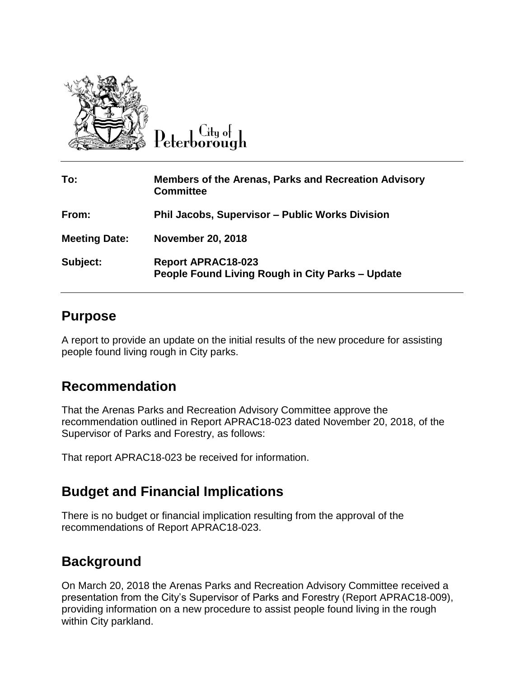

City of Peterborough

| To:                  | <b>Members of the Arenas, Parks and Recreation Advisory</b><br><b>Committee</b> |
|----------------------|---------------------------------------------------------------------------------|
| From:                | <b>Phil Jacobs, Supervisor - Public Works Division</b>                          |
| <b>Meeting Date:</b> | <b>November 20, 2018</b>                                                        |
| Subject:             | <b>Report APRAC18-023</b><br>People Found Living Rough in City Parks - Update   |

## **Purpose**

A report to provide an update on the initial results of the new procedure for assisting people found living rough in City parks.

## **Recommendation**

That the Arenas Parks and Recreation Advisory Committee approve the recommendation outlined in Report APRAC18-023 dated November 20, 2018, of the Supervisor of Parks and Forestry, as follows:

That report APRAC18-023 be received for information.

## **Budget and Financial Implications**

There is no budget or financial implication resulting from the approval of the recommendations of Report APRAC18-023.

## **Background**

On March 20, 2018 the Arenas Parks and Recreation Advisory Committee received a presentation from the City's Supervisor of Parks and Forestry (Report APRAC18-009), providing information on a new procedure to assist people found living in the rough within City parkland.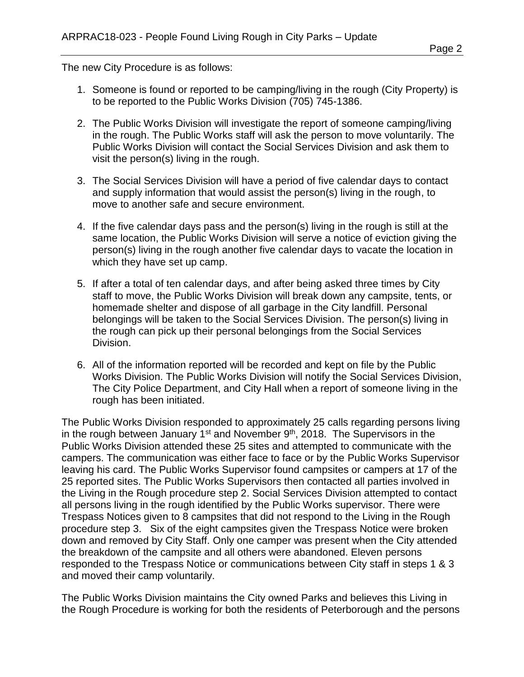The new City Procedure is as follows:

- 1. Someone is found or reported to be camping/living in the rough (City Property) is to be reported to the Public Works Division (705) 745-1386.
- 2. The Public Works Division will investigate the report of someone camping/living in the rough. The Public Works staff will ask the person to move voluntarily. The Public Works Division will contact the Social Services Division and ask them to visit the person(s) living in the rough.
- 3. The Social Services Division will have a period of five calendar days to contact and supply information that would assist the person(s) living in the rough, to move to another safe and secure environment.
- 4. If the five calendar days pass and the person(s) living in the rough is still at the same location, the Public Works Division will serve a notice of eviction giving the person(s) living in the rough another five calendar days to vacate the location in which they have set up camp.
- 5. If after a total of ten calendar days, and after being asked three times by City staff to move, the Public Works Division will break down any campsite, tents, or homemade shelter and dispose of all garbage in the City landfill. Personal belongings will be taken to the Social Services Division. The person(s) living in the rough can pick up their personal belongings from the Social Services Division.
- 6. All of the information reported will be recorded and kept on file by the Public Works Division. The Public Works Division will notify the Social Services Division, The City Police Department, and City Hall when a report of someone living in the rough has been initiated.

The Public Works Division responded to approximately 25 calls regarding persons living in the rough between January  $1<sup>st</sup>$  and November  $9<sup>th</sup>$ , 2018. The Supervisors in the Public Works Division attended these 25 sites and attempted to communicate with the campers. The communication was either face to face or by the Public Works Supervisor leaving his card. The Public Works Supervisor found campsites or campers at 17 of the 25 reported sites. The Public Works Supervisors then contacted all parties involved in the Living in the Rough procedure step 2. Social Services Division attempted to contact all persons living in the rough identified by the Public Works supervisor. There were Trespass Notices given to 8 campsites that did not respond to the Living in the Rough procedure step 3. Six of the eight campsites given the Trespass Notice were broken down and removed by City Staff. Only one camper was present when the City attended the breakdown of the campsite and all others were abandoned. Eleven persons responded to the Trespass Notice or communications between City staff in steps 1 & 3 and moved their camp voluntarily.

The Public Works Division maintains the City owned Parks and believes this Living in the Rough Procedure is working for both the residents of Peterborough and the persons